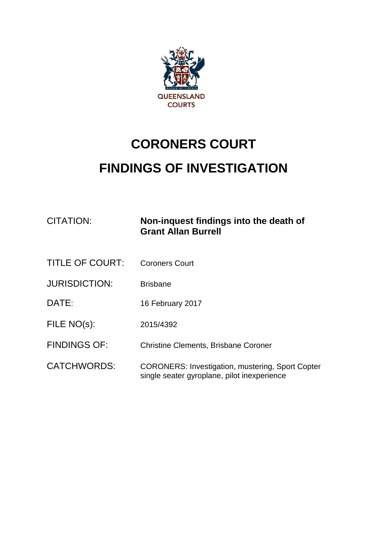

## **CORONERS COURT FINDINGS OF INVESTIGATION**

| <b>CITATION:</b>       | Non-inquest findings into the death of<br><b>Grant Allan Burrell</b>                                   |
|------------------------|--------------------------------------------------------------------------------------------------------|
| <b>TITLE OF COURT:</b> | <b>Coroners Court</b>                                                                                  |
| <b>JURISDICTION:</b>   | <b>Brisbane</b>                                                                                        |
| DATE:                  | 16 February 2017                                                                                       |
| FILE NO(s):            | 2015/4392                                                                                              |
| <b>FINDINGS OF:</b>    | <b>Christine Clements, Brisbane Coroner</b>                                                            |
| <b>CATCHWORDS:</b>     | <b>CORONERS: Investigation, mustering, Sport Copter</b><br>single seater gyroplane, pilot inexperience |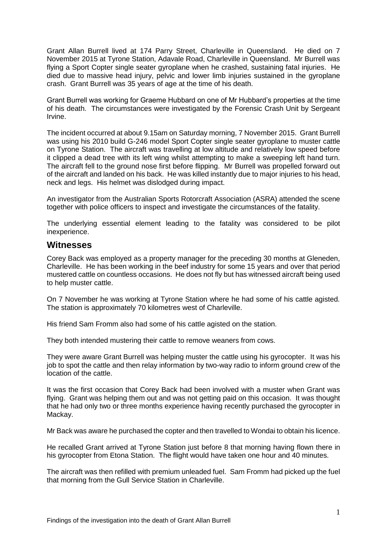Grant Allan Burrell lived at 174 Parry Street, Charleville in Queensland. He died on 7 November 2015 at Tyrone Station, Adavale Road, Charleville in Queensland. Mr Burrell was flying a Sport Copter single seater gyroplane when he crashed, sustaining fatal injuries. He died due to massive head injury, pelvic and lower limb injuries sustained in the gyroplane crash. Grant Burrell was 35 years of age at the time of his death.

Grant Burrell was working for Graeme Hubbard on one of Mr Hubbard's properties at the time of his death. The circumstances were investigated by the Forensic Crash Unit by Sergeant Irvine.

The incident occurred at about 9.15am on Saturday morning, 7 November 2015. Grant Burrell was using his 2010 build G-246 model Sport Copter single seater gyroplane to muster cattle on Tyrone Station. The aircraft was travelling at low altitude and relatively low speed before it clipped a dead tree with its left wing whilst attempting to make a sweeping left hand turn. The aircraft fell to the ground nose first before flipping. Mr Burrell was propelled forward out of the aircraft and landed on his back. He was killed instantly due to major injuries to his head, neck and legs. His helmet was dislodged during impact.

An investigator from the Australian Sports Rotorcraft Association (ASRA) attended the scene together with police officers to inspect and investigate the circumstances of the fatality.

The underlying essential element leading to the fatality was considered to be pilot inexperience.

## **Witnesses**

Corey Back was employed as a property manager for the preceding 30 months at Gleneden, Charleville. He has been working in the beef industry for some 15 years and over that period mustered cattle on countless occasions. He does not fly but has witnessed aircraft being used to help muster cattle.

On 7 November he was working at Tyrone Station where he had some of his cattle agisted. The station is approximately 70 kilometres west of Charleville.

His friend Sam Fromm also had some of his cattle agisted on the station.

They both intended mustering their cattle to remove weaners from cows.

They were aware Grant Burrell was helping muster the cattle using his gyrocopter. It was his job to spot the cattle and then relay information by two-way radio to inform ground crew of the location of the cattle.

It was the first occasion that Corey Back had been involved with a muster when Grant was flying. Grant was helping them out and was not getting paid on this occasion. It was thought that he had only two or three months experience having recently purchased the gyrocopter in Mackay.

Mr Back was aware he purchased the copter and then travelled to Wondai to obtain his licence.

He recalled Grant arrived at Tyrone Station just before 8 that morning having flown there in his gyrocopter from Etona Station. The flight would have taken one hour and 40 minutes.

The aircraft was then refilled with premium unleaded fuel. Sam Fromm had picked up the fuel that morning from the Gull Service Station in Charleville.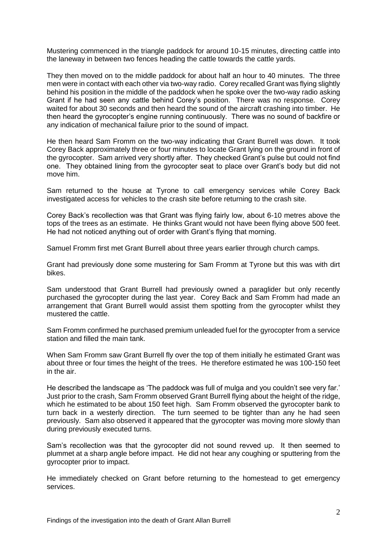Mustering commenced in the triangle paddock for around 10-15 minutes, directing cattle into the laneway in between two fences heading the cattle towards the cattle yards.

They then moved on to the middle paddock for about half an hour to 40 minutes. The three men were in contact with each other via two-way radio. Corey recalled Grant was flying slightly behind his position in the middle of the paddock when he spoke over the two-way radio asking Grant if he had seen any cattle behind Corey's position. There was no response. Corey waited for about 30 seconds and then heard the sound of the aircraft crashing into timber. He then heard the gyrocopter's engine running continuously. There was no sound of backfire or any indication of mechanical failure prior to the sound of impact.

He then heard Sam Fromm on the two-way indicating that Grant Burrell was down. It took Corey Back approximately three or four minutes to locate Grant lying on the ground in front of the gyrocopter. Sam arrived very shortly after. They checked Grant's pulse but could not find one. They obtained lining from the gyrocopter seat to place over Grant's body but did not move him.

Sam returned to the house at Tyrone to call emergency services while Corey Back investigated access for vehicles to the crash site before returning to the crash site.

Corey Back's recollection was that Grant was flying fairly low, about 6-10 metres above the tops of the trees as an estimate. He thinks Grant would not have been flying above 500 feet. He had not noticed anything out of order with Grant's flying that morning.

Samuel Fromm first met Grant Burrell about three years earlier through church camps.

Grant had previously done some mustering for Sam Fromm at Tyrone but this was with dirt bikes.

Sam understood that Grant Burrell had previously owned a paraglider but only recently purchased the gyrocopter during the last year. Corey Back and Sam Fromm had made an arrangement that Grant Burrell would assist them spotting from the gyrocopter whilst they mustered the cattle.

Sam Fromm confirmed he purchased premium unleaded fuel for the gyrocopter from a service station and filled the main tank.

When Sam Fromm saw Grant Burrell fly over the top of them initially he estimated Grant was about three or four times the height of the trees. He therefore estimated he was 100-150 feet in the air.

He described the landscape as 'The paddock was full of mulga and you couldn't see very far.' Just prior to the crash, Sam Fromm observed Grant Burrell flying about the height of the ridge, which he estimated to be about 150 feet high. Sam Fromm observed the gyrocopter bank to turn back in a westerly direction. The turn seemed to be tighter than any he had seen previously. Sam also observed it appeared that the gyrocopter was moving more slowly than during previously executed turns.

Sam's recollection was that the gyrocopter did not sound revved up. It then seemed to plummet at a sharp angle before impact. He did not hear any coughing or sputtering from the gyrocopter prior to impact.

He immediately checked on Grant before returning to the homestead to get emergency services.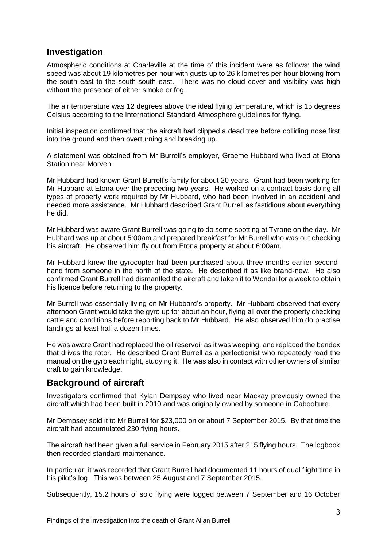## **Investigation**

Atmospheric conditions at Charleville at the time of this incident were as follows: the wind speed was about 19 kilometres per hour with gusts up to 26 kilometres per hour blowing from the south east to the south-south east. There was no cloud cover and visibility was high without the presence of either smoke or fog.

The air temperature was 12 degrees above the ideal flying temperature, which is 15 degrees Celsius according to the International Standard Atmosphere guidelines for flying.

Initial inspection confirmed that the aircraft had clipped a dead tree before colliding nose first into the ground and then overturning and breaking up.

A statement was obtained from Mr Burrell's employer, Graeme Hubbard who lived at Etona Station near Morven.

Mr Hubbard had known Grant Burrell's family for about 20 years. Grant had been working for Mr Hubbard at Etona over the preceding two years. He worked on a contract basis doing all types of property work required by Mr Hubbard, who had been involved in an accident and needed more assistance. Mr Hubbard described Grant Burrell as fastidious about everything he did.

Mr Hubbard was aware Grant Burrell was going to do some spotting at Tyrone on the day. Mr Hubbard was up at about 5:00am and prepared breakfast for Mr Burrell who was out checking his aircraft. He observed him fly out from Etona property at about 6:00am.

Mr Hubbard knew the gyrocopter had been purchased about three months earlier secondhand from someone in the north of the state. He described it as like brand-new. He also confirmed Grant Burrell had dismantled the aircraft and taken it to Wondai for a week to obtain his licence before returning to the property.

Mr Burrell was essentially living on Mr Hubbard's property. Mr Hubbard observed that every afternoon Grant would take the gyro up for about an hour, flying all over the property checking cattle and conditions before reporting back to Mr Hubbard. He also observed him do practise landings at least half a dozen times.

He was aware Grant had replaced the oil reservoir as it was weeping, and replaced the bendex that drives the rotor. He described Grant Burrell as a perfectionist who repeatedly read the manual on the gyro each night, studying it. He was also in contact with other owners of similar craft to gain knowledge.

## **Background of aircraft**

Investigators confirmed that Kylan Dempsey who lived near Mackay previously owned the aircraft which had been built in 2010 and was originally owned by someone in Caboolture.

Mr Dempsey sold it to Mr Burrell for \$23,000 on or about 7 September 2015. By that time the aircraft had accumulated 230 flying hours.

The aircraft had been given a full service in February 2015 after 215 flying hours. The logbook then recorded standard maintenance.

In particular, it was recorded that Grant Burrell had documented 11 hours of dual flight time in his pilot's log. This was between 25 August and 7 September 2015.

Subsequently, 15.2 hours of solo flying were logged between 7 September and 16 October